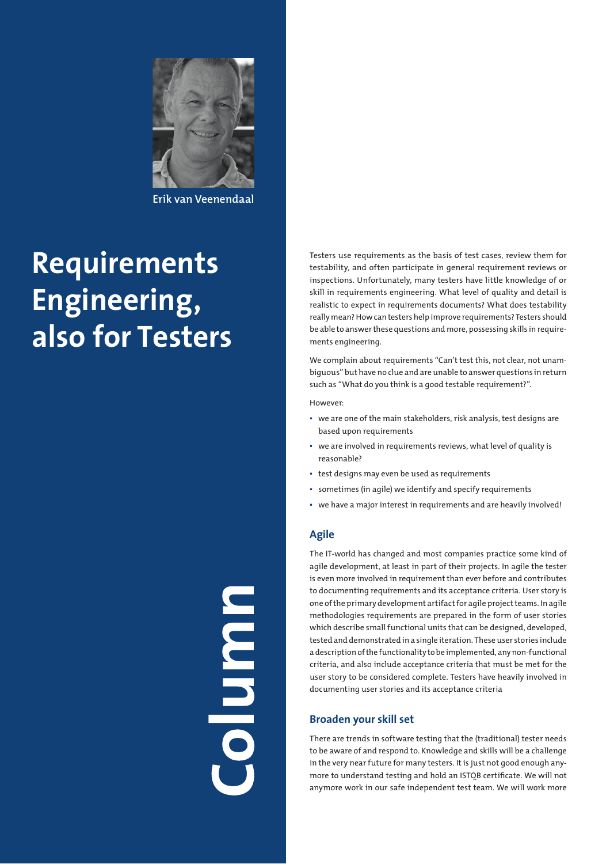

**Erik van Veenendaal**

# **Requirements Engineering, also for Testers**

Testers use requirements as the basis of test cases, review them for testability, and often participate in general requirement reviews or inspections. Unfortunately, many testers have little knowledge of or skill in requirements engineering. What level of quality and detail is realistic to expect in requirements documents? What does testability really mean? How can testers help improve requirements? Testers should be able to answer these questions and more, possessing skills in requirements engineering.

We complain about requirements "Can't test this, not clear, not unambiguous" but have no clue and are unable to answer questions in return such as "What do you think is a good testable requirement?".

#### However:

- we are one of the main stakeholders, risk analysis, test designs are based upon requirements
- we are involved in requirements reviews, what level of quality is reasonable?
- test designs may even be used as requirements
- sometimes (in agile) we identify and specify requirements
- we have a major interest in requirements and are heavily involved!

# **Agile**

The IT-world has changed and most companies practice some kind of agile development, at least in part of their projects. In agile the tester is even more involved in requirement than ever before and contributes to documenting requirements and its acceptance criteria. User story is one of the primary development artifact for agile project teams. In agile methodologies requirements are prepared in the form of user stories which describe small functional units that can be designed, developed, tested and demonstrated in a single iteration. These user stories include a description of the functionality to be implemented, any non-functional criteria, and also include acceptance criteria that must be met for the user story to be considered complete. Testers have heavily involved in documenting user stories and its acceptance criteria

## **Broaden your skill set**

There are trends in software testing that the (traditional) tester needs to be aware of and respond to. Knowledge and skills will be a challenge in the very near future for many testers. It is just not good enough anymore to understand testing and hold an ISTQB certificate. We will not anymore work in our safe independent test team. We will work more

**Column**